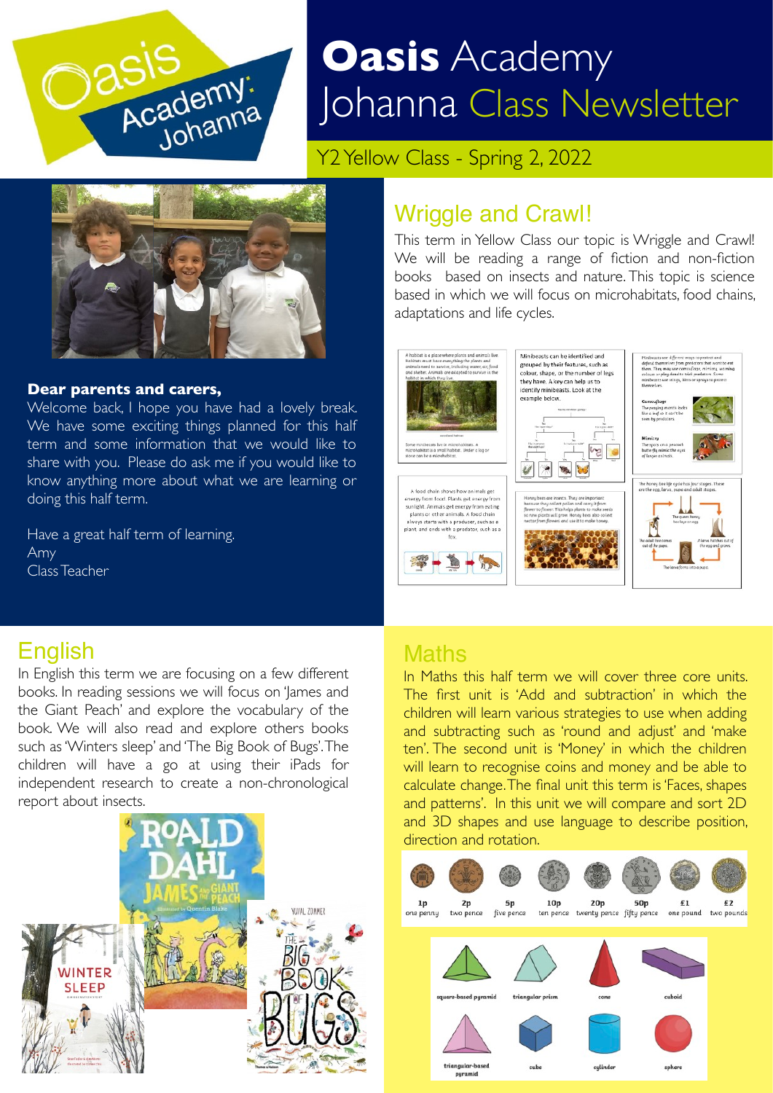

# **Oasis** Academy Johanna Class Newsletter

Y2 Yellow Class - Spring 2, 2022



### **Dear parents and carers,**

Welcome back, I hope you have had a lovely break. We have some exciting things planned for this half term and some information that we would like to share with you. Please do ask me if you would like to know anything more about what we are learning or doing this half term.

Have a great half term of learning. Amy Class Teacher

### Wriggle and Crawl!

This term in Yellow Class our topic is Wriggle and Crawl! We will be reading a range of fiction and non-fiction books based on insects and nature. This topic is science based in which we will focus on microhabitats, food chains, adaptations and life cycles.



### **English**

In English this term we are focusing on a few different books. In reading sessions we will focus on 'James and the Giant Peach' and explore the vocabulary of the book. We will also read and explore others books such as 'Winters sleep' and 'The Big Book of Bugs'. The children will have a go at using their iPads for independent research to create a non-chronological report about insects.



### **Maths**

In Maths this half term we will cover three core units. The first unit is 'Add and subtraction' in which the children will learn various strategies to use when adding and subtracting such as 'round and adjust' and 'make ten'. The second unit is 'Money' in which the children will learn to recognise coins and money and be able to calculate change. The final unit this term is 'Faces, shapes and patterns'. In this unit we will compare and sort 2D and 3D shapes and use language to describe position, direction and rotation.